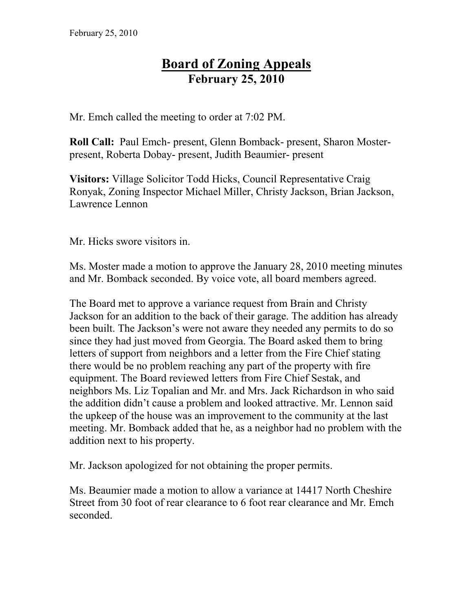## **Board of Zoning Appeals February 25, 2010**

Mr. Emch called the meeting to order at 7:02 PM.

**Roll Call:** Paul Emch- present, Glenn Bomback- present, Sharon Mosterpresent, Roberta Dobay- present, Judith Beaumier- present

**Visitors:** Village Solicitor Todd Hicks, Council Representative Craig Ronyak, Zoning Inspector Michael Miller, Christy Jackson, Brian Jackson, Lawrence Lennon

Mr. Hicks swore visitors in.

Ms. Moster made a motion to approve the January 28, 2010 meeting minutes and Mr. Bomback seconded. By voice vote, all board members agreed.

The Board met to approve a variance request from Brain and Christy Jackson for an addition to the back of their garage. The addition has already been built. The Jackson's were not aware they needed any permits to do so since they had just moved from Georgia. The Board asked them to bring letters of support from neighbors and a letter from the Fire Chief stating there would be no problem reaching any part of the property with fire equipment. The Board reviewed letters from Fire Chief Sestak, and neighbors Ms. Liz Topalian and Mr. and Mrs. Jack Richardson in who said the addition didn't cause a problem and looked attractive. Mr. Lennon said the upkeep of the house was an improvement to the community at the last meeting. Mr. Bomback added that he, as a neighbor had no problem with the addition next to his property.

Mr. Jackson apologized for not obtaining the proper permits.

Ms. Beaumier made a motion to allow a variance at 14417 North Cheshire Street from 30 foot of rear clearance to 6 foot rear clearance and Mr. Emch seconded.